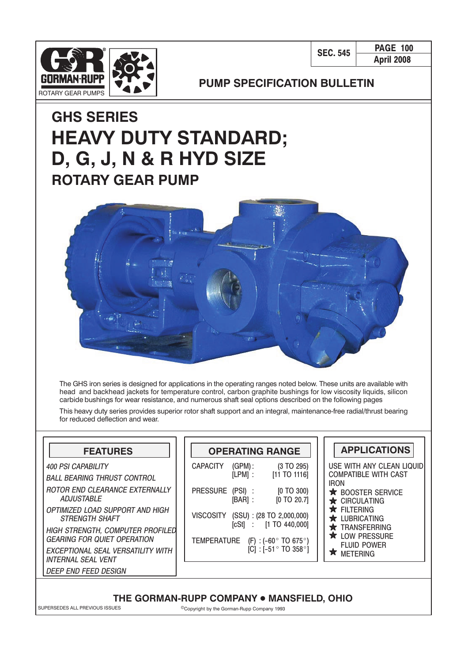

PAGE 100



### **PUMP SPECIFICATION BULLETIN**

# **HEAVY DUTY STANDARD; D, G, J, N & R HYD SIZE ROTARY GEAR PUMP GHS SERIES**



The GHS iron series is designed for applications in the operating ranges noted below. These units are available with head and backhead jackets for temperature control, carbon graphite bushings for low viscosity liquids, silicon carbide bushings for wear resistance, and numerous shaft seal options described on the following pages

This heavy duty series provides superior rotor shaft support and an integral, maintenance-free radial/thrust bearing for reduced deflection and wear.

400 PSI CAPABILITY BALL BEARING THRUST CONTROL ROTOR END CLEARANCE EXTERNALLY ADJUSTABLE

OPTIMIZED LOAD SUPPORT AND HIGH STRENGTH SHAFT

HIGH STRENGTH, COMPUTER PROFILED GEARING FOR QUIET OPERATION EXCEPTIONAL SEAL VERSATILITY WITH INTERNAL SEAL VENT DEEP END FEED DESIGN

| <b>FEATURES</b>                               |                    |                        | <b>OPERATING RANGE</b>                                                    | <b>APPLICATIONS</b>                                                  |
|-----------------------------------------------|--------------------|------------------------|---------------------------------------------------------------------------|----------------------------------------------------------------------|
| PABILITY<br>ING THRUST CONTROL                | <b>CAPACITY</b>    | $(GPM)$ :<br>$[LPM]$ : | (3 TO 295)<br>[11 T0 1116]                                                | USE WITH ANY CLEAN LIQ<br><b>COMPATIBLE WITH CAST</b>                |
| D CLEARANCE EXTERNALLY<br>TABLE               | PRESSURE (PSI) :   | $[BAR]$ :              | [0 TO 300]<br>[0 TO 20.7]                                                 | <b>IRON</b><br><b>★ BOOSTER SERVICE</b><br>$\bigstar$ circulating    |
| <b>LOAD SUPPORT AND HIGH</b><br>'GTH SHAFT    |                    |                        | VISCOSITY (SSU): (28 TO 2,000,000)<br>$[cSt]$ : $[1 \text{ TO } 440,000]$ | <b>★ FILTERING</b><br><b>★ LUBRICATING</b>                           |
| NGTH, COMPUTER PROFILED<br>OR QUIET OPERATION | <b>TEMPERATURE</b> |                        | (F) : $(-60^{\circ}$ TO 675°)                                             | <b>★ TRANSFERRING</b><br><b>★</b> LOW PRESSURE<br><b>FLUID POWER</b> |
| IAL SEAL VERSATILITY WITH                     |                    |                        | $ C $ : [-51 $^{\circ}$ TO 358 $^{\circ}$ ]                               | ÷<br><b>METEDIMO</b>                                                 |

# USE WITH ANY CLEAN LIQUID

COMPATIBLE WITH CAST IRON **★ BOOSTER SERVICE \*** CIRCULATING

- $\star$  Filtering
- $\star$  LUBRICATING
- **\*** TRANSFERRING
- **★** LOW PRESSURE FLUID POWER
- $\star$  METERING
-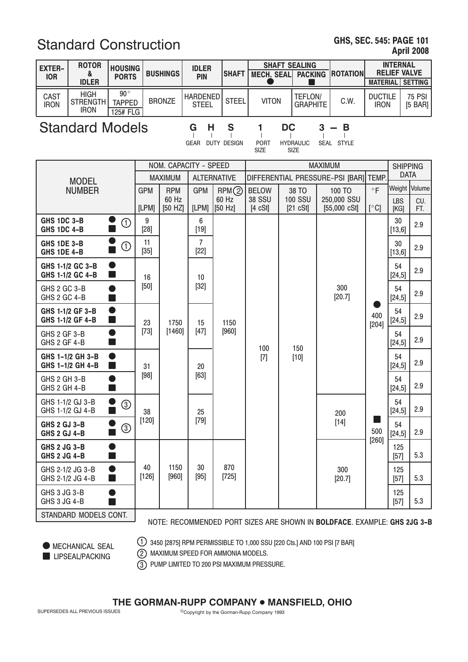### Standard Construction

| <b>EXTER-</b><br><b>IOR</b>                                                                 | <b>ROTOR</b><br>&                                                 | <b>HOUSING</b><br><b>PORTS</b>            |                       | <b>BUSHINGS</b>     | <b>IDLER</b><br><b>PIN</b>                  | <b>SHAFT</b>    | <b>MECH. SEAL</b>             |  | <b>SHAFT SEALING</b><br><b>PACKING</b> | <b>ROTATION</b>                                                          |                               | <b>INTERNAL</b><br><b>RELIEF VALVE</b> |                          |
|---------------------------------------------------------------------------------------------|-------------------------------------------------------------------|-------------------------------------------|-----------------------|---------------------|---------------------------------------------|-----------------|-------------------------------|--|----------------------------------------|--------------------------------------------------------------------------|-------------------------------|----------------------------------------|--------------------------|
|                                                                                             | <b>IDLER</b>                                                      |                                           |                       |                     |                                             |                 |                               |  |                                        |                                                                          | <b>MATERIAL</b>               |                                        | <b>SETTING</b>           |
| <b>CAST</b><br><b>IRON</b>                                                                  | <b>HIGH</b><br>STRENGTH<br><b>IRON</b>                            | $90^{\circ}$<br><b>TAPPED</b><br>125# FLG |                       | <b>BRONZE</b>       | <b>HARDENED</b><br><b>STEEL</b>             | <b>STEEL</b>    | <b>VITON</b>                  |  | TEFLON/<br><b>GRAPHITE</b>             | C.W.                                                                     | <b>DUCTILE</b><br><b>IRON</b> |                                        | <b>75 PSI</b><br>[5 BAR] |
|                                                                                             | <b>Standard Models</b><br>S<br><b>DC</b><br>G<br>н<br>3<br>B<br>1 |                                           |                       |                     |                                             |                 |                               |  |                                        |                                                                          |                               |                                        |                          |
| DUTY DESIGN<br><b>PORT</b><br><b>HYDRAULIC</b><br>SEAL STYLE<br>GEAR<br>SIZE<br><b>SIZE</b> |                                                                   |                                           |                       |                     |                                             |                 |                               |  |                                        |                                                                          |                               |                                        |                          |
|                                                                                             |                                                                   |                                           | NOM. CAPACITY - SPEED |                     |                                             |                 |                               |  | <b>MAXIMUM</b>                         |                                                                          |                               |                                        | <b>SHIPPING</b>          |
|                                                                                             | <b>MODEL</b>                                                      |                                           |                       | <b>MAXIMUM</b>      | <b>ALTERNATIVE</b>                          |                 |                               |  |                                        | DIFFERENTIAL PRESSURE-PSI [BAR] TEMP.                                    |                               |                                        | <b>DATA</b>              |
|                                                                                             | <b>NUMBER</b>                                                     |                                           | <b>GPM</b>            | <b>RPM</b><br>60 Hz | <b>GPM</b>                                  | RPM(2)<br>60 Hz | <b>BELOW</b><br><b>38 SSU</b> |  | 38 TO<br><b>100 SSU</b>                | 100 TO<br>250,000 SSU                                                    | $\circ$ F                     |                                        | Weight Volume            |
|                                                                                             |                                                                   |                                           | [LPM]                 | [50 HZ]             | [LPM]                                       | [50 Hz]         | $[4 \text{ cSt}]$             |  | $[21 \cSt]$                            | $[55,000 \text{ cSt}]$                                                   | $\lceil$ °C]                  | <b>LBS</b><br>[KG]                     | CU.<br>FT.               |
| <b>GHS 1DC 3-B</b><br>GHS 1DC 4-B                                                           |                                                                   | $\textcircled{\scriptsize{1}}$<br>×       | 9<br>$[28]$           |                     | 6<br>$[19]$                                 |                 |                               |  |                                        |                                                                          |                               | 30<br>[13,6]                           | 2.9                      |
| <b>GHS 1DE 3-B</b><br><b>GHS 1DE 4-B</b>                                                    |                                                                   | $\bigcirc$                                | 11<br>$[35]$          |                     | 7<br>$[22]$<br>10<br>$[32]$<br>15<br>$[47]$ |                 |                               |  |                                        |                                                                          | 400<br>$[204]$                | 30<br>[13, 6]                          | 2.9                      |
|                                                                                             | GHS 1-1/2 GC 3-B<br>GHS 1-1/2 GC 4-B                              | $\bullet$<br>$\Box$                       | 16                    |                     |                                             |                 |                               |  |                                        |                                                                          |                               | 54<br>[24,5]                           | 2.9                      |
| GHS 2 GC 3-B<br>GHS 2 GC 4-B                                                                |                                                                   | $\bullet$<br>$\overline{\phantom{a}}$     | [50]                  |                     |                                             |                 |                               |  |                                        | 300<br>[20.7]                                                            |                               | 54<br>[24, 5]                          | 2.9                      |
|                                                                                             | GHS 1-1/2 GF 3-B<br>GHS 1-1/2 GF 4-B                              | $\bullet$<br>$\Box$                       | 23                    | 1750                |                                             | 1150            | 100<br>150<br>$[10]$<br>$[7]$ |  |                                        |                                                                          |                               | 54<br>[24, 5]                          | 2.9                      |
| <b>GHS 2 GF 3-B</b><br>GHS 2 GF 4-B                                                         |                                                                   | D<br>×                                    | $[73]$                | [1460]              |                                             | $[960]$         |                               |  |                                        |                                                                          | 54<br>[24,5]                  | 2.9                                    |                          |
|                                                                                             | GHS 1-1/2 GH 3-B<br>GHS 1-1/2 GH 4-B                              | $\bullet$<br>×                            | 31                    |                     | 20                                          |                 |                               |  |                                        |                                                                          |                               | 54<br>[24, 5]                          | 2.9                      |
| GHS 2 GH 3-B<br>GHS 2 GH 4-B                                                                |                                                                   | ×                                         | [98]                  |                     | [63]                                        |                 |                               |  |                                        |                                                                          |                               | 54<br>[24,5]                           | 2.9                      |
|                                                                                             | GHS 1-1/2 GJ 3-B<br>GHS 1-1/2 GJ 4-B                              | $^\circledR$                              | 38                    |                     | $25\,$                                      |                 |                               |  |                                        | 200                                                                      |                               | 54<br>[24, 5]                          | 2.9                      |
| <b>GHS 2 GJ 3-B</b><br><b>GHS 2 GJ 4-B</b>                                                  |                                                                   | $^\circledR$                              | $[120]$               |                     | $[79]$                                      |                 |                               |  |                                        | $[14]$                                                                   | 500<br>$[260]$                | 54<br>[24, 5]                          | 2.9                      |
| <b>GHS 2 JG 3-B</b><br><b>GHS 2 JG 4-B</b>                                                  |                                                                   |                                           |                       |                     |                                             |                 |                               |  |                                        |                                                                          |                               | 125<br>$[57]$                          | 5.3                      |
|                                                                                             | GHS 2-1/2 JG 3-B<br>GHS 2-1/2 JG 4-B                              |                                           | 40<br>$[126]$         | 1150<br>$[960]$     | 30<br>$[95]$                                | 870<br>$[725]$  |                               |  |                                        | 300<br>[20.7]                                                            |                               | 125<br>$[57]$                          | 5.3                      |
| GHS 3 JG 3-B<br>GHS 3 JG 4-B                                                                |                                                                   |                                           |                       |                     |                                             |                 |                               |  |                                        |                                                                          |                               | 125<br>$[57]$                          | 5.3                      |
|                                                                                             | STANDARD MODELS CONT.                                             |                                           |                       |                     |                                             |                 |                               |  |                                        | NOTE: RECOMMENDED PORT SIZES ARE SHOWN IN BOLDFACE. EXAMPLE: GHS 2JG 3-B |                               |                                        |                          |

 $\bullet$  MECHANICAL SEAL

1 3450 [2875] RPM PERMISSIBLE TO 1,000 SSU [220 Cts.] AND 100 PSI [7 BAR]

**LIPSEAL/PACKING** 

MAXIMUM SPEED FOR AMMONIA MODELS.

PUMP LIMITED TO 200 PSI MAXIMUM PRESSURE. 3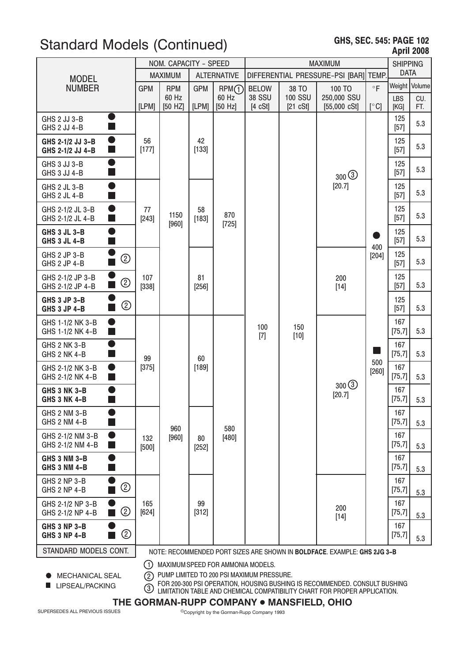### Standard Models (Continued)

GHS, SEC. 545: PAGE 102

| . 545: PAGE 102 |                   |  |
|-----------------|-------------------|--|
|                 | <b>April 2008</b> |  |

|                                            |                                           | NOM. CAPACITY - SPEED |                     |               | <b>MAXIMUM</b>                    |                                       |                         |                                                                          | <b>SHIPPING</b> |                    |                 |
|--------------------------------------------|-------------------------------------------|-----------------------|---------------------|---------------|-----------------------------------|---------------------------------------|-------------------------|--------------------------------------------------------------------------|-----------------|--------------------|-----------------|
| <b>MODEL</b>                               |                                           |                       | <b>MAXIMUM</b>      |               | <b>ALTERNATIVE</b>                | DIFFERENTIAL PRESSURE-PSI [BAR] TEMP. |                         |                                                                          |                 | <b>DATA</b>        |                 |
| <b>NUMBER</b>                              |                                           | <b>GPM</b>            | <b>RPM</b><br>60 Hz | <b>GPM</b>    | RPM(1)<br>60 Hz                   | <b>BELOW</b><br><b>38 SSU</b>         | 38 TO<br><b>100 SSU</b> | 100 TO<br>250,000 SSU                                                    | $\circ$ F       |                    | Weight   Volume |
|                                            |                                           | [LPM]                 | [50 HZ]             | [LPM]         | [50 Hz]                           | $[4 \cSt]$                            | $[21 \cSt]$             | $[55,000 \cSt]$                                                          | [°C]            | <b>LBS</b><br>[KG] | CU.<br>FT.      |
| <b>GHS 2 JJ 3-B</b><br><b>GHS 2 JJ 4-B</b> | D<br>T.                                   |                       |                     |               |                                   |                                       |                         |                                                                          |                 | 125<br>$[57]$      | 5.3             |
| GHS 2-1/2 JJ 3-B<br>GHS 2-1/2 JJ 4-B       | $\bullet$<br>$\blacksquare$               | 56<br>[177]           |                     | 42<br>$[133]$ |                                   |                                       |                         |                                                                          |                 | 125<br>$[57]$      | 5.3             |
| GHS 3 JJ 3-B<br>GHS 3 JJ 4-B               | $\bullet$<br>×                            |                       |                     |               |                                   |                                       |                         | $300 \textcircled{3}$                                                    |                 | 125<br>$[57]$      | 5.3             |
| <b>GHS 2 JL 3-B</b><br><b>GHS 2 JL 4-B</b> |                                           |                       |                     |               |                                   |                                       |                         | [20.7]                                                                   |                 | 125<br>$[57]$      | 5.3             |
| GHS 2-1/2 JL 3-B<br>GHS 2-1/2 JL 4-B       | $\bullet$<br>$\blacksquare$               | 77<br>$[243]$         | 1150<br>$[960]$     | 58<br>$[183]$ | 870<br>$[725]$                    |                                       |                         |                                                                          |                 | 125<br>$[57]$      | 5.3             |
| <b>GHS 3 JL 3-B</b><br><b>GHS 3 JL 4-B</b> |                                           |                       |                     |               |                                   |                                       |                         |                                                                          | 400             | 125<br>$[57]$      | 5.3             |
| GHS 2 JP 3-B<br>GHS 2 JP 4-B               | ۰<br>$^{\copyright}$                      |                       |                     | 81<br>$[256]$ |                                   |                                       |                         | 200<br>$[14]$                                                            | $[204]$         | 125<br>$[57]$      | 5.3             |
| GHS 2-1/2 JP 3-B<br>GHS 2-1/2 JP 4-B       | $\bullet$<br>$^{\copyright}$              | 107<br>$[338]$        |                     |               |                                   |                                       |                         |                                                                          |                 | 125<br>$[57]$      | 5.3             |
| <b>GHS 3 JP 3-B</b><br><b>GHS 3 JP 4-B</b> | $^{\copyright}$<br><b>Service Service</b> |                       |                     |               |                                   |                                       |                         |                                                                          |                 | 125<br>$[57]$      | 5.3             |
| GHS 1-1/2 NK 3-B<br>GHS 1-1/2 NK 4-B       | D<br>a s                                  |                       |                     |               |                                   | 100<br>$[7]$                          | 150<br>$[10]$           |                                                                          |                 | 167<br>[75, 7]     | 5.3             |
| GHS 2 NK 3-B<br>GHS 2 NK 4-B               | u                                         | 99                    | 60<br>$[189]$       |               |                                   |                                       |                         | <b>Service Service</b>                                                   | 167<br>[75, 7]  | 5.3                |                 |
| GHS 2-1/2 NK 3-B<br>GHS 2-1/2 NK 4-B       | $\bullet$<br>×                            | $[375]$               |                     |               |                                   |                                       |                         | $300\textcircled{3}$<br>[20.7]                                           | 500<br>$[260]$  | 167<br>[75, 7]     | 5.3             |
| <b>GHS 3 NK 3-B</b><br><b>GHS 3 NK 4-B</b> | $\bullet$                                 |                       |                     |               |                                   |                                       |                         |                                                                          |                 | 167<br>[75, 7]     | 5.3             |
| <b>GHS 2 NM 3-B</b><br><b>GHS 2 NM 4-B</b> |                                           |                       | 960                 |               | 580                               |                                       |                         |                                                                          |                 | 167<br>[75, 7]     | 5.3             |
| GHS 2-1/2 NM 3-B<br>GHS 2-1/2 NM 4-B       | $\bullet$<br>$\Box$                       | 132<br>$[500]$        | [960]               | 80<br>$[252]$ | $[480]$                           |                                       |                         |                                                                          |                 | 167<br>[75, 7]     | 5.3             |
| <b>GHS 3 NM 3-B</b><br>GHS 3 NM 4-B        |                                           |                       |                     |               |                                   |                                       |                         |                                                                          |                 | 167<br>[75, 7]     | 5.3             |
| GHS 2 NP 3-B<br><b>GHS 2 NP 4-B</b>        | ●<br>$^{\copyright}$                      |                       |                     |               |                                   |                                       |                         |                                                                          |                 | 167<br>[75,7]      | 5.3             |
| GHS 2-1/2 NP 3-B<br>GHS 2-1/2 NP 4-B       | O<br>$^{\circledR}$<br>$\Box$             | 165<br>$[624]$        |                     | 99<br>$[312]$ |                                   |                                       |                         | 200<br>$[14]$                                                            |                 | 167<br>[75, 7]     | 5.3             |
| <b>GHS 3 NP 3-B</b><br><b>GHS 3 NP 4-B</b> | O<br>$^{\circledR}$                       |                       |                     |               |                                   |                                       |                         |                                                                          |                 | 167<br>[75,7]      | 5.3             |
| STANDARD MODELS CONT.                      |                                           |                       |                     |               |                                   |                                       |                         | NOTE: RECOMMENDED PORT SIZES ARE SHOWN IN BOLDFACE. EXAMPLE: GHS 2JG 3-B |                 |                    |                 |
|                                            |                                           | (1)                   |                     |               | MAXIMUM SPEED FOR AMMONIA MODELS. |                                       |                         |                                                                          |                 |                    |                 |

 $\bullet$  MECHANICAL SEAL **LIPSEAL/PACKING** 

PUMP LIMITED TO 200 PSI MAXIMUM PRESSURE. 2 FOR 200-300 PSI OPERATION, HOUSING BUSHING IS RECOMMENDED. CONSULT BUSHING

3) LIMITATION TABLE AND CHEMICAL COMPATIBILITY CHART FOR PROPER APPLICATION.

THE GORMAN-RUPP COMPANY . MANSFIELD, OHIO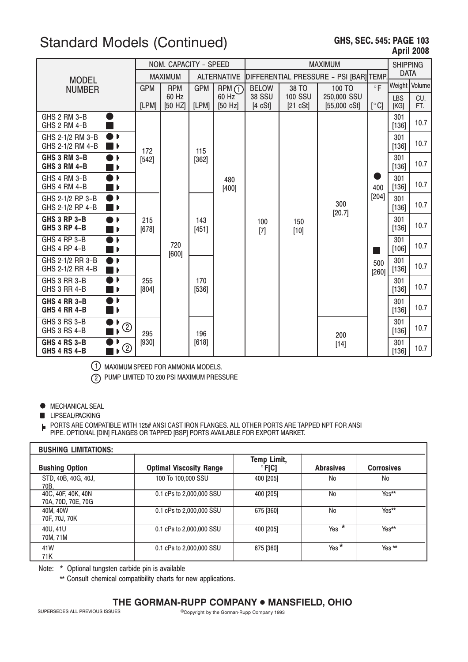### Standard Models (Continued)

#### GHS, SEC. 545: PAGE 103 April 2008

|                                                                       |                | NOM. CAPACITY - SPEED |                    |                                | <b>MAXIMUM</b>                          |                               |                                |                                  | <b>SHIPPING</b>    |                 |
|-----------------------------------------------------------------------|----------------|-----------------------|--------------------|--------------------------------|-----------------------------------------|-------------------------------|--------------------------------|----------------------------------|--------------------|-----------------|
| <b>MODEL</b>                                                          |                | <b>MAXIMUM</b>        | <b>ALTERNATIVE</b> |                                | DIFFERENTIAL PRESSURE - PSI [BAR] TEMP. |                               |                                | <b>DATA</b>                      |                    |                 |
| <b>NUMBER</b>                                                         | <b>GPM</b>     | <b>RPM</b>            | <b>GPM</b>         | RPM(1)                         | <b>BELOW</b>                            | 38 TO                         | 100 TO                         | $\circ$ F                        |                    | Weight   Volume |
|                                                                       | [LPM]          | 60 Hz<br>[50 HZ]      | [LPM]              | 60 Hz<br>[50 Hz]               | <b>38 SSU</b><br>$[4 \text{ cSt}]$      | <b>100 SSU</b><br>$[21 \cSt]$ | 250,000 SSU<br>$[55,000 \cSt]$ | [°C]                             | <b>LBS</b><br>[KG] | CU.<br>FT.      |
| <b>GHS 2 RM 3-B</b><br><b>GHS 2 RM 4-B</b>                            |                |                       |                    |                                |                                         |                               |                                |                                  | 301<br>[136]       | 10.7            |
| $\blacktriangleright$ F<br>GHS 2-1/2 RM 3-B<br>GHS 2-1/2 RM 4-B<br>∎⊧ | 172            |                       | 115                |                                |                                         |                               |                                |                                  | 301<br>[136]       | 10.7            |
| <b>GHS 3 RM 3-B</b><br>D þ<br><b>GHS 3 RM 4-B</b>                     | $[542]$        |                       | $[362]$            | 480<br>$[400]$<br>143<br>[451] | 100<br>$[7]$                            |                               | 300<br>[20.7]                  | 400<br>$[204]$<br>500<br>$[260]$ | 301<br>$[136]$     | 10.7            |
| GHS 4 RM 3-B<br>GHS 4 RM 4-B<br>Þ                                     |                |                       |                    |                                |                                         |                               |                                |                                  | 301<br>[136]       | 10.7            |
| Þ<br>GHS 2-1/2 RP 3-B<br>GHS 2-1/2 RP 4-B                             |                |                       | 720                |                                |                                         | 150<br>$[10]$                 |                                |                                  | 301<br>[136]       | 10.7            |
| <b>GHS 3 RP 3-B</b><br>Þ<br><b>GHS 3 RP 4-B</b>                       | 215<br>$[678]$ |                       |                    |                                |                                         |                               |                                |                                  | 301<br>[136]       | 10.7            |
| GHS 4 RP 3-B<br>Þ<br>GHS 4 RP 4-B<br>Þ                                |                | [600]                 |                    |                                |                                         |                               |                                |                                  | 301<br>[106]       | 10.7            |
| GHS 2-1/2 RR 3-B<br>Þ<br>GHS 2-1/2 RR 4-B                             |                |                       |                    |                                |                                         |                               |                                |                                  | 301<br>$[136]$     | 10.7            |
| Þ<br><b>GHS 3 RR 3-B</b><br><b>GHS 3 RR 4-B</b>                       | 255<br>[804]   |                       | 170<br>$[536]$     |                                |                                         |                               |                                |                                  | 301<br>[136]       | 10.7            |
| Þ<br><b>GHS 4 RR 3-B</b><br><b>GHS 4 RR 4-B</b>                       |                |                       |                    |                                |                                         |                               |                                |                                  | 301<br>[136]       | 10.7            |
| GHS 3 RS 3-B<br>$^\copyright$<br>GHS 3 RS 4-B                         | 295            |                       | 196                |                                |                                         |                               | 200                            |                                  | 301<br>[136]       | 10.7            |
| <b>GHS 4 RS 3-B</b><br>$^{\circledR}$<br><b>GHS 4 RS 4-B</b>          | $[930]$        |                       | [618]              |                                |                                         |                               | $[14]$                         |                                  | 301<br>$[136]$     | 10.7            |

1 MAXIMUM SPEED FOR AMMONIA MODELS.

PUMP LIMITED TO 200 PSI MAXIMUM PRESSURE 2

MECHANICAL SEAL

**LIPSEAL/PACKING** 

PORTS ARE COMPATIBLE WITH 125# ANSI CAST IRON FLANGES. ALL OTHER PORTS ARE TAPPED NPT FOR ANSI Þ PIPE. OPTIONAL [DIN] FLANGES OR TAPPED [BSP] PORTS AVAILABLE FOR EXPORT MARKET.

| <b>BUSHING LIMITATIONS:</b>              |                                |                               |                  |                   |
|------------------------------------------|--------------------------------|-------------------------------|------------------|-------------------|
| <b>Bushing Option</b>                    | <b>Optimal Viscosity Range</b> | Temp Limit,<br>$\degree$ F[C] | <b>Abrasives</b> | <b>Corrosives</b> |
| STD, 40B, 40G, 40J,<br>70B.              | 100 To 100,000 SSU             | 400 [205]                     | No               | No                |
| 40C, 40F, 40K, 40N<br>70A, 70D, 70E, 70G | 0.1 cPs to 2,000,000 SSU       | 400 [205]                     | No               | Yes**             |
| 40M, 40W<br>70F, 70J, 70K                | 0.1 cPs to 2,000,000 SSU       | 675 [360]                     | No               | Yes**             |
| 40U, 41U<br>70M, 71M                     | 0.1 cPs to 2,000,000 SSU       | 400 [205]                     | Yes $*$          | Yes**             |
| 41W<br>71K                               | 0.1 cPs to 2,000,000 SSU       | 675 [360]                     | Yes <sup>*</sup> | Yes <sup>**</sup> |

Note: \* Optional tungsten carbide pin is available

\*\* Consult chemical compatibility charts for new applications.

### THE GORMAN-RUPP COMPANY . MANSFIELD, OHIO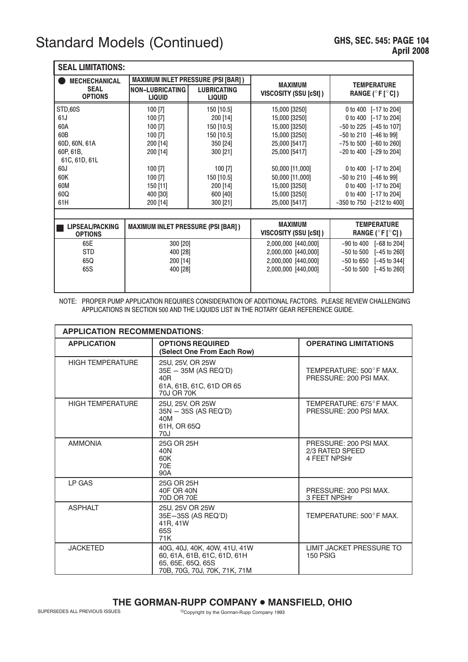### Standard Models (Continued) GHS, SEC. 545: PAGE 104

| <b>SEAL LIMITATIONS:</b>                                                                                              |                                                                                                                                          |                                                                                                                                           |                                                                                                                                                                                             |                                                                                                                                                                                                                                                                                                                             |
|-----------------------------------------------------------------------------------------------------------------------|------------------------------------------------------------------------------------------------------------------------------------------|-------------------------------------------------------------------------------------------------------------------------------------------|---------------------------------------------------------------------------------------------------------------------------------------------------------------------------------------------|-----------------------------------------------------------------------------------------------------------------------------------------------------------------------------------------------------------------------------------------------------------------------------------------------------------------------------|
| <b>MECHECHANICAL</b>                                                                                                  | <b>MAXIMUM INLET PRESSURE (PSI [BAR])</b>                                                                                                |                                                                                                                                           | <b>MAXIMUM</b>                                                                                                                                                                              | <b>TEMPERATURE</b>                                                                                                                                                                                                                                                                                                          |
| <b>SEAL</b><br><b>OPTIONS</b>                                                                                         | <b>NON-LUBRICATING</b><br><b>LIQUID</b>                                                                                                  | <b>LUBRICATING</b><br><b>LIQUID</b>                                                                                                       | VISCOSITY (SSU [cSt])                                                                                                                                                                       | RANGE ( $^{\circ}$ F [ $^{\circ}$ C])                                                                                                                                                                                                                                                                                       |
| <b>STD,60S</b><br>61J<br>60A<br>60B<br>60D, 60N, 61A<br>60P, 61B,<br>61C, 61D, 61L<br>60J<br>60K<br>60M<br>60Q<br>61H | $100$ [7]<br>$100$ [7]<br>$100$ [7]<br>$100$ [7]<br>200 [14]<br>200 [14]<br>$100$ [7]<br>$100$ [7]<br>$150$ [11]<br>400 [30]<br>200 [14] | 150 [10.5]<br>200 [14]<br>150 [10.5]<br>150 [10.5]<br>350 [24]<br>300 [21]<br>$100$ [7]<br>150 [10.5]<br>200 [14]<br>600 [40]<br>300 [21] | 15,000 [3250]<br>15,000 [3250]<br>15,000 [3250]<br>15,000 [3250]<br>25,000 [5417]<br>25,000 [5417]<br>50,000 [11,000]<br>50,000 [11,000]<br>15,000 [3250]<br>15,000 [3250]<br>25,000 [5417] | 0 to 400 [-17 to 204]<br>0 to 400 [-17 to 204]<br>$-50$ to 225 $[-45$ to 107]<br>$-50$ to 210 $[-46$ to 99]<br>$-75$ to 500 [ $-60$ to 260]<br>$-20$ to 400 [ $-29$ to 204]<br>0 to 400 [-17 to 204]<br>$-50$ to 210 $[-46$ to 99]<br>0 to 400 [-17 to 204]<br>0 to 400 [-17 to 204]<br>$-350$ to $750$ [ $-212$ to $400$ ] |
| <b>LIPSEAL/PACKING</b>                                                                                                | <b>MAXIMUM INLET PRESSURE (PSI [BAR])</b>                                                                                                |                                                                                                                                           | <b>MAXIMUM</b>                                                                                                                                                                              | <b>TEMPERATURE</b>                                                                                                                                                                                                                                                                                                          |
| <b>OPTIONS</b>                                                                                                        |                                                                                                                                          |                                                                                                                                           | VISCOSITY (SSU [cSt])                                                                                                                                                                       | RANGE ( $^{\circ}$ F [ $^{\circ}$ C])                                                                                                                                                                                                                                                                                       |
| 65E<br><b>STD</b><br>65Q<br>65S                                                                                       | 300 [20]<br>400 [28]<br>200 [14]<br>400 [28]                                                                                             |                                                                                                                                           | 2,000,000 [440,000]<br>2,000,000 [440,000]<br>2,000,000 [440,000]<br>2,000,000 [440,000]                                                                                                    | $[-68$ to 204]<br>$-90$ to $400$<br>[-45 to 260]<br>$-50$ to $500$<br>$-50$ to $650$<br>$[-45$ to 344]<br>$[-45 \text{ to } 260]$<br>$-50$ to $500$                                                                                                                                                                         |

NOTE: PROPER PUMP APPLICATION REQUIRES CONSIDERATION OF ADDITIONAL FACTORS. PLEASE REVIEW CHALLENGING APPLICATIONS IN SECTION 500 AND THE LIQUIDS LIST IN THE ROTARY GEAR REFERENCE GUIDE.

| <b>APPLICATION RECOMMENDATIONS:</b> |                                                                                                                  |                                                           |  |  |  |  |  |
|-------------------------------------|------------------------------------------------------------------------------------------------------------------|-----------------------------------------------------------|--|--|--|--|--|
| <b>APPLICATION</b>                  | <b>OPTIONS REQUIRED</b><br>(Select One From Each Row)                                                            | <b>OPERATING LIMITATIONS</b>                              |  |  |  |  |  |
| <b>HIGH TEMPERATURE</b>             | 25U, 25V, OR 25W<br>35E - 35M (AS REQ'D)<br>40R<br>61A, 61B, 61C, 61D OR 65<br>70J OR 70K                        | TEMPERATURE: 500°F MAX.<br>PRESSURE: 200 PSI MAX.         |  |  |  |  |  |
| <b>HIGH TEMPERATURE</b>             | 25U, 25V, OR 25W<br>35N - 35S (AS REQ'D)<br>40M<br>61H, OR 65Q<br>70J                                            | TEMPERATURE: 675°F MAX.<br>PRESSURE: 200 PSI MAX.         |  |  |  |  |  |
| <b>AMMONIA</b>                      | 25G OR 25H<br>40N<br>60K<br>70E<br>90A                                                                           | PRESSURE: 200 PSI MAX.<br>2/3 RATED SPEED<br>4 FEET NPSHr |  |  |  |  |  |
| LP GAS                              | 25G OR 25H<br>40F OR 40N<br>70D OR 70E                                                                           | PRESSURE: 200 PSI MAX.<br>3 FEET NPSHr                    |  |  |  |  |  |
| <b>ASPHALT</b>                      | 25U, 25V OR 25W<br>35E-35S (AS REQ'D)<br>41R, 41W<br>65S<br>71K                                                  | TEMPERATURE: 500°F MAX.                                   |  |  |  |  |  |
| <b>JACKETED</b>                     | 40G, 40J, 40K, 40W, 41U, 41W<br>60, 61A, 61B, 61C, 61D, 61H<br>65, 65E, 65Q, 65S<br>70B, 70G, 70J, 70K, 71K, 71M | LIMIT JACKET PRESSURE TO<br><b>150 PSIG</b>               |  |  |  |  |  |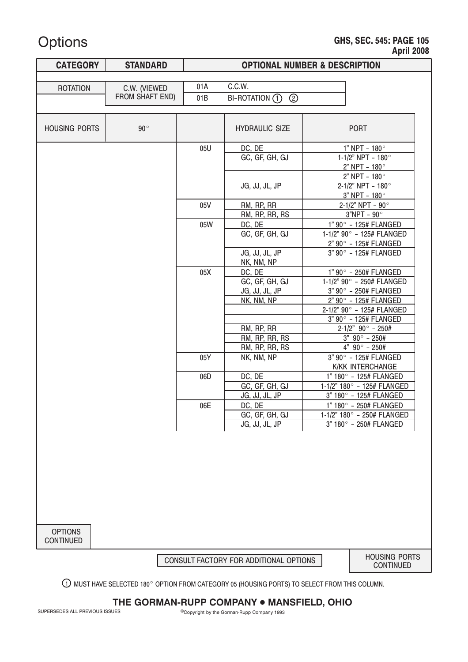#### GHS, SEC. 545: PAGE 105 April 2008

## **Options**

| <b>CATEGORY</b>                    | <b>STANDARD</b>                                                                    | <b>OPTIONAL NUMBER &amp; DESCRIPTION</b> |                                     |  |                                                            |  |  |  |
|------------------------------------|------------------------------------------------------------------------------------|------------------------------------------|-------------------------------------|--|------------------------------------------------------------|--|--|--|
|                                    |                                                                                    |                                          |                                     |  |                                                            |  |  |  |
| <b>ROTATION</b>                    | C.W. (VIEWED                                                                       | 01A                                      | C.C.W.                              |  |                                                            |  |  |  |
|                                    | FROM SHAFT END)                                                                    | 01B                                      | $^{\circledR}$<br>$BI-ROTATION (1)$ |  |                                                            |  |  |  |
|                                    |                                                                                    |                                          |                                     |  |                                                            |  |  |  |
| <b>HOUSING PORTS</b>               | $90^{\circ}$                                                                       |                                          | <b>HYDRAULIC SIZE</b>               |  | <b>PORT</b>                                                |  |  |  |
|                                    |                                                                                    | 05U                                      | DC, DE                              |  | 1" NPT - 180 $^{\circ}$                                    |  |  |  |
|                                    |                                                                                    |                                          | GC, GF, GH, GJ                      |  | 1-1/2" NPT - 180 $^{\circ}$                                |  |  |  |
|                                    |                                                                                    |                                          |                                     |  | $2"$ NPT - 180 $^{\circ}$                                  |  |  |  |
|                                    |                                                                                    |                                          |                                     |  | $2"$ NPT - 180 $^{\circ}$                                  |  |  |  |
|                                    |                                                                                    |                                          | JG, JJ, JL, JP                      |  | 2-1/2" NPT - 180 $^{\circ}$                                |  |  |  |
|                                    |                                                                                    | 05V                                      |                                     |  | $3"$ NPT - 180 $^{\circ}$<br>$2-1/2$ " NPT - 90 $^{\circ}$ |  |  |  |
|                                    |                                                                                    |                                          | RM, RP, RR<br>RM, RP, RR, RS        |  | $3"NPT - 90°$                                              |  |  |  |
|                                    |                                                                                    | 05W                                      | DC, DE                              |  | 1" 90° - 125# FLANGED                                      |  |  |  |
|                                    |                                                                                    |                                          | GC, GF, GH, GJ                      |  | 1-1/2" 90° - 125# FLANGED                                  |  |  |  |
|                                    |                                                                                    |                                          |                                     |  | 2" 90° - 125# FLANGED                                      |  |  |  |
|                                    |                                                                                    |                                          | JG, JJ, JL, JP<br>NK, NM, NP        |  | 3" 90° - 125# FLANGED                                      |  |  |  |
|                                    |                                                                                    | 05X                                      | DC, DE                              |  | 1" 90° - 250# FLANGED                                      |  |  |  |
|                                    |                                                                                    |                                          | GC, GF, GH, GJ                      |  | 1-1/2" 90° - 250# FLANGED                                  |  |  |  |
|                                    |                                                                                    |                                          | <u>JG, JJ, JL, JP</u>               |  | 3" 90° - 250# FLANGED                                      |  |  |  |
|                                    |                                                                                    |                                          | NK, NM, NP                          |  | 2" 90° - 125# FLANGED                                      |  |  |  |
|                                    |                                                                                    |                                          |                                     |  | 2-1/2" 90° - 125# FLANGED                                  |  |  |  |
|                                    |                                                                                    |                                          |                                     |  | 3" 90° - 125# FLANGED<br>$2-1/2$ " 90° - 250#              |  |  |  |
|                                    |                                                                                    |                                          | RM, RP, RR<br>RM, RP, RR, RS        |  | $3" 90° - 250#$                                            |  |  |  |
|                                    |                                                                                    |                                          | RM, RP, RR, RS                      |  | $4" 90° - 250#$                                            |  |  |  |
|                                    |                                                                                    | 05Y                                      | NK, NM, NP                          |  | 3" 90° - 125# FLANGED                                      |  |  |  |
|                                    |                                                                                    |                                          |                                     |  | K/KK INTERCHANGE                                           |  |  |  |
|                                    |                                                                                    | 06D                                      | DC, DE                              |  | 1" 180° - 125# FLANGED                                     |  |  |  |
|                                    |                                                                                    |                                          | GC, GF, GH, GJ                      |  | 1-1/2" 180° - 125# FLANGED                                 |  |  |  |
|                                    |                                                                                    |                                          | JG, JJ, JL, JP                      |  | 3" 180° - 125# FLANGED                                     |  |  |  |
|                                    |                                                                                    | 06E                                      | DC, DE                              |  | 1" 180° - 250# FLANGED                                     |  |  |  |
|                                    |                                                                                    |                                          | GC, GF, GH, GJ                      |  | 1-1/2" 180° - 250# FLANGED                                 |  |  |  |
|                                    |                                                                                    |                                          | JG, JJ, JL, JP                      |  | 3" 180° - 250# FLANGED                                     |  |  |  |
| <b>OPTIONS</b><br><b>CONTINUED</b> |                                                                                    |                                          |                                     |  |                                                            |  |  |  |
|                                    |                                                                                    |                                          |                                     |  |                                                            |  |  |  |
|                                    | <b>HOUSING PORTS</b><br>CONSULT FACTORY FOR ADDITIONAL OPTIONS<br><b>CONTINUED</b> |                                          |                                     |  |                                                            |  |  |  |

 $\odot$  MUST HAVE SELECTED 180° OPTION FROM CATEGORY 05 (HOUSING PORTS) TO SELECT FROM THIS COLUMN.

### THE GORMAN-RUPP COMPANY . MANSFIELD, OHIO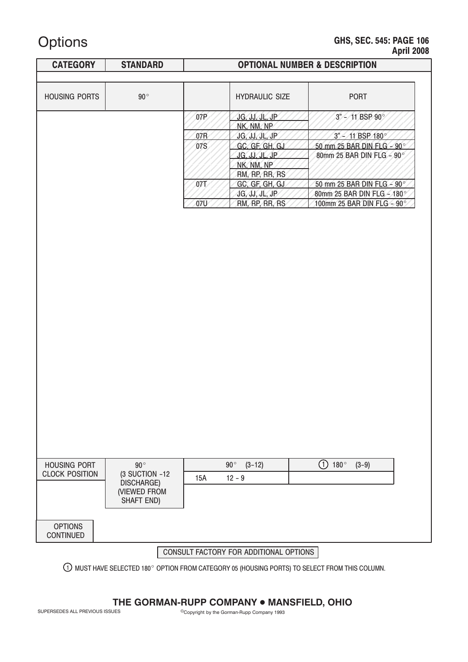GHS, SEC. 545: PAGE 106 April 2008

### **Options**

| <b>CATEGORY</b>                    | <b>STANDARD</b>              |     |                                      | <b>OPTIONAL NUMBER &amp; DESCRIPTION</b> |
|------------------------------------|------------------------------|-----|--------------------------------------|------------------------------------------|
| <b>HOUSING PORTS</b>               | $90^{\circ}$                 |     | <b>HYDRAULIC SIZE</b>                | <b>PORT</b>                              |
|                                    |                              | 07P | <u>JG, JJ, JL, JP,</u><br>NK, NM, NP | 3" - 11 BSP 90°                          |
|                                    |                              | 07R | JG, JJ, JL, JP                       | $3" - 11$ BSP $180°$                     |
|                                    |                              | 07S | GC. GF. GH. GJ                       | 50 mm 25 BAR DIN FLG - 90°               |
|                                    |                              |     | <u>JG, JJ, JL, JP,</u>               | 80mm 25 BAR DIN FLG - 90°                |
|                                    |                              |     | NK, NM, NP                           |                                          |
|                                    |                              |     | RM, RP, RR, RS                       |                                          |
|                                    |                              | 07T | GC, GF, GH, GJ                       | 50 mm 25 BAR DIN FLG - 90°               |
|                                    |                              |     | JG, JJ, JL, JP                       | 80mm 25 BAR DIN FLG - 180°               |
|                                    |                              | 07U | RM, RP, RR, RS                       | 100mm 25 BAR DIN FLG - 90°               |
| <b>HOUSING PORT</b>                | $90^{\circ}$                 |     | $90^{\circ}$<br>$(3-12)$             | ⋒<br>$180^{\circ}$<br>$(3-9)$            |
|                                    |                              |     |                                      |                                          |
| <b>CLOCK POSITION</b>              | (3 SUCTION -12<br>DISCHARGE) | 15A | $12 - 9$                             |                                          |
|                                    | (VIEWED FROM<br>SHAFT END)   |     |                                      |                                          |
| <b>OPTIONS</b><br><b>CONTINUED</b> |                              |     |                                      |                                          |

CONSULT FACTORY FOR ADDITIONAL OPTIONS

 ${\rm D}$  must have selected 180 $^{\circ}$  option from category 05 (housing ports) to select from this column.

### THE GORMAN-RUPP COMPANY . MANSFIELD, OHIO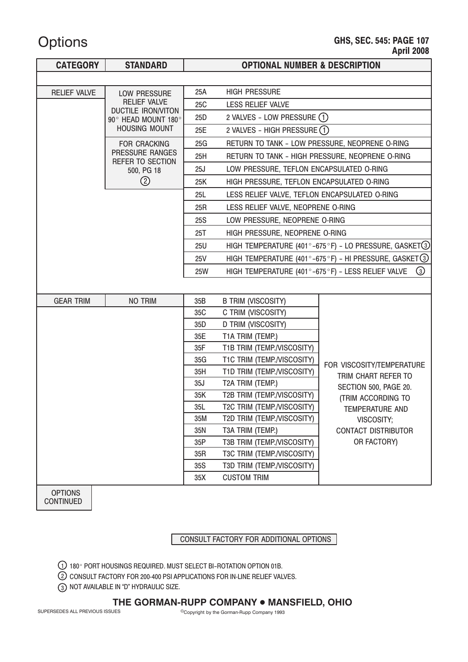#### GHS, SEC. 545: PAGE 107 April 2008

### **Options**

| <b>CATEGORY</b>     | <b>STANDARD</b>                                  |            | <b>OPTIONAL NUMBER &amp; DESCRIPTION</b>          |                                                                               |
|---------------------|--------------------------------------------------|------------|---------------------------------------------------|-------------------------------------------------------------------------------|
|                     |                                                  |            |                                                   |                                                                               |
| <b>RELIEF VALVE</b> | LOW PRESSURE                                     | 25A        | <b>HIGH PRESSURE</b>                              |                                                                               |
|                     | <b>RELIEF VALVE</b><br><b>DUCTILE IRON/VITON</b> | 25C        | <b>LESS RELIEF VALVE</b>                          |                                                                               |
|                     | 90° HEAD MOUNT 180°                              | 25D        | 2 VALVES - LOW PRESSURE (1)                       |                                                                               |
|                     | <b>HOUSING MOUNT</b>                             | 25E        | 2 VALVES - HIGH PRESSURE (1)                      |                                                                               |
|                     | <b>FOR CRACKING</b>                              | 25G        | RETURN TO TANK - LOW PRESSURE, NEOPRENE O-RING    |                                                                               |
|                     | PRESSURE RANGES<br>REFER TO SECTION              | 25H        |                                                   | RETURN TO TANK - HIGH PRESSURE, NEOPRENE O-RING                               |
|                     | 500, PG 18                                       | 25J        | LOW PRESSURE, TEFLON ENCAPSULATED O-RING          |                                                                               |
|                     | ②                                                | 25K        | HIGH PRESSURE, TEFLON ENCAPSULATED O-RING         |                                                                               |
|                     |                                                  | 25L        | LESS RELIEF VALVE, TEFLON ENCAPSULATED O-RING     |                                                                               |
|                     |                                                  | 25R        | LESS RELIEF VALVE, NEOPRENE O-RING                |                                                                               |
|                     |                                                  | 25S        | LOW PRESSURE, NEOPRENE O-RING                     |                                                                               |
|                     |                                                  | 25T        | HIGH PRESSURE, NEOPRENE O-RING                    |                                                                               |
|                     |                                                  | 25U        |                                                   | HIGH TEMPERATURE (401°-675°F) - LO PRESSURE, GASKET (3)                       |
|                     |                                                  | 25V        |                                                   | HIGH TEMPERATURE (401 $^{\circ}$ -675 $^{\circ}$ F) – HI PRESSURE, GASKET (3) |
|                     |                                                  | 25W        | HIGH TEMPERATURE (401°-675°F) - LESS RELIEF VALVE | $\circled{3}$                                                                 |
|                     |                                                  |            |                                                   |                                                                               |
| <b>GEAR TRIM</b>    | <b>NO TRIM</b>                                   | 35B        | <b>B TRIM (VISCOSITY)</b>                         |                                                                               |
|                     |                                                  | 35C        | C TRIM (VISCOSITY)                                |                                                                               |
|                     |                                                  | 35D        | D TRIM (VISCOSITY)                                |                                                                               |
|                     |                                                  | 35E        | T1A TRIM (TEMP.)                                  |                                                                               |
|                     |                                                  | 35F        | T1B TRIM (TEMP./VISCOSITY)                        |                                                                               |
|                     |                                                  | 35G        | T1C TRIM (TEMP./VISCOSITY)                        | FOR VISCOSITY/TEMPERATURE                                                     |
|                     |                                                  | 35H        | T1D TRIM (TEMP./VISCOSITY)                        | TRIM CHART REFER TO                                                           |
|                     |                                                  | 35J        | T2A TRIM (TEMP.)                                  | SECTION 500, PAGE 20.                                                         |
|                     |                                                  | 35K        | T2B TRIM (TEMP./VISCOSITY)                        | (TRIM ACCORDING TO                                                            |
|                     |                                                  | 35L        | T2C TRIM (TEMP./VISCOSITY)                        | <b>TEMPERATURE AND</b>                                                        |
|                     |                                                  | 35M<br>35N | T2D TRIM (TEMP./VISCOSITY)<br>T3A TRIM (TEMP.)    | VISCOSITY;<br><b>CONTACT DISTRIBUTOR</b>                                      |
|                     |                                                  | 35P        | T3B TRIM (TEMP./VISCOSITY)                        | OR FACTORY)                                                                   |
|                     |                                                  | 35R        | T3C TRIM (TEMP./VISCOSITY)                        |                                                                               |
|                     |                                                  | 35S        | T3D TRIM (TEMP./VISCOSITY)                        |                                                                               |
|                     |                                                  | 35X        | <b>CUSTOM TRIM</b>                                |                                                                               |
| <b>OPTIONS</b>      |                                                  |            |                                                   |                                                                               |

CONTINUED

CONSULT FACTORY FOR ADDITIONAL OPTIONS

1 180 PORT HOUSINGS REQUIRED. MUST SELECT BI−ROTATION OPTION 01B.

2 CONSULT FACTORY FOR 200-400 PSI APPLICATIONS FOR IN-LINE RELIEF VALVES.

3) NOT AVAILABLE IN "D" HYDRAULIC SIZE.

#### THE GORMAN-RUPP COMPANY . MANSFIELD, OHIO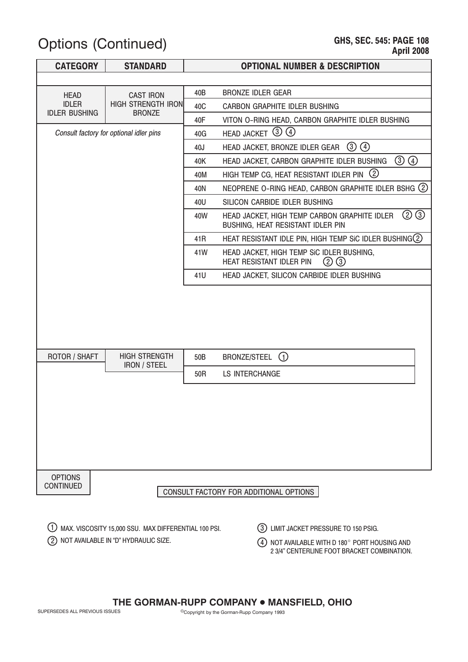## Options (Continued)

| <b>CATEGORY</b>                      | <b>STANDARD</b>                            |                                                                      | <b>OPTIONAL NUMBER &amp; DESCRIPTION</b>                                                         |  |  |  |
|--------------------------------------|--------------------------------------------|----------------------------------------------------------------------|--------------------------------------------------------------------------------------------------|--|--|--|
|                                      |                                            |                                                                      |                                                                                                  |  |  |  |
| <b>HEAD</b>                          | <b>CAST IRON</b>                           | 40B                                                                  | <b>BRONZE IDLER GEAR</b>                                                                         |  |  |  |
| <b>IDLER</b><br><b>IDLER BUSHING</b> | <b>HIGH STRENGTH IRON</b><br><b>BRONZE</b> | 40C                                                                  | CARBON GRAPHITE IDLER BUSHING                                                                    |  |  |  |
|                                      |                                            | 40F                                                                  | VITON O-RING HEAD, CARBON GRAPHITE IDLER BUSHING                                                 |  |  |  |
|                                      | Consult factory for optional idler pins    | 40G                                                                  | HEAD JACKET 3 4                                                                                  |  |  |  |
|                                      |                                            | $\circled{3}$ $\circled{4}$<br>HEAD JACKET, BRONZE IDLER GEAR<br>40J |                                                                                                  |  |  |  |
|                                      |                                            | 40K                                                                  | $\circled{3}$<br>HEAD JACKET, CARBON GRAPHITE IDLER BUSHING                                      |  |  |  |
|                                      |                                            | 40M                                                                  | HIGH TEMP CG, HEAT RESISTANT IDLER PIN 2                                                         |  |  |  |
|                                      |                                            |                                                                      | NEOPRENE O-RING HEAD, CARBON GRAPHITE IDLER BSHG (2)                                             |  |  |  |
|                                      |                                            |                                                                      | SILICON CARBIDE IDLER BUSHING                                                                    |  |  |  |
|                                      |                                            | 40W                                                                  | $(2)$ $(3)$<br>HEAD JACKET, HIGH TEMP CARBON GRAPHITE IDLER<br>BUSHING, HEAT RESISTANT IDLER PIN |  |  |  |
|                                      |                                            | 41R                                                                  | HEAT RESISTANT IDLE PIN, HIGH TEMP SIC IDLER BUSHING 2                                           |  |  |  |
|                                      |                                            | 41W                                                                  | HEAD JACKET, HIGH TEMP SIC IDLER BUSHING,<br>HEAT RESISTANT IDLER PIN<br>②<br>$\circledS$        |  |  |  |
|                                      |                                            | 41U                                                                  | HEAD JACKET, SILICON CARBIDE IDLER BUSHING                                                       |  |  |  |
|                                      |                                            |                                                                      |                                                                                                  |  |  |  |
| ROTOR / SHAFT                        | <b>HIGH STRENGTH</b>                       | 50B                                                                  | <b>BRONZE/STEEL</b><br>$\bigcirc$                                                                |  |  |  |
|                                      | <b>IRON / STEEL</b>                        | 50R                                                                  | LS INTERCHANGE                                                                                   |  |  |  |
|                                      |                                            |                                                                      |                                                                                                  |  |  |  |
| <b>OPTIONS</b><br><b>CONTINUED</b>   | CONSULT FACTORY FOR ADDITIONAL OPTIONS     |                                                                      |                                                                                                  |  |  |  |

 $1)$  max. VISCOSITY 15,000 SSU. MAX DIFFERENTIAL 100 PSI.  $\qquad \qquad (3)$ 

2) NOT AVAILABLE IN "D" HYDRAULIC SIZE.

LIMIT JACKET PRESSURE TO 150 PSIG.

 $\left(4\right)$  not available with D 180 $^{\circ}$  port housing and 2 3/4" CENTERLINE FOOT BRACKET COMBINATION.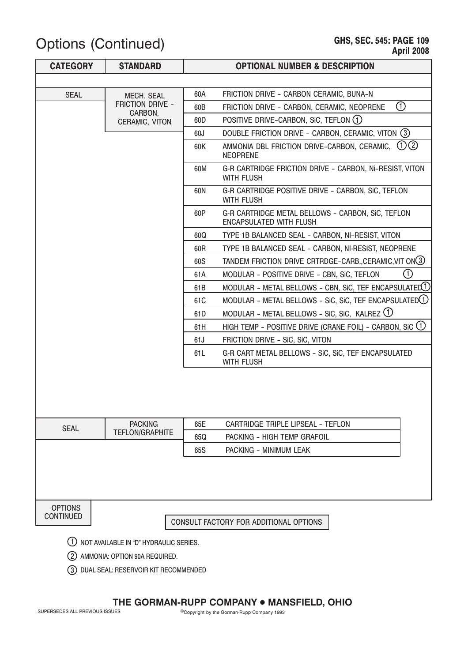### Options (Continued)

| <b>CATEGORY</b>                    | <b>STANDARD</b>                                                                 | <b>APULLEY</b><br><b>OPTIONAL NUMBER &amp; DESCRIPTION</b>                       |                                                                                     |  |  |  |  |  |  |  |
|------------------------------------|---------------------------------------------------------------------------------|----------------------------------------------------------------------------------|-------------------------------------------------------------------------------------|--|--|--|--|--|--|--|
|                                    |                                                                                 |                                                                                  |                                                                                     |  |  |  |  |  |  |  |
| <b>SEAL</b>                        | <b>MECH. SEAL</b>                                                               | 60A                                                                              | FRICTION DRIVE - CARBON CERAMIC, BUNA-N                                             |  |  |  |  |  |  |  |
|                                    | <b>FRICTION DRIVE -</b>                                                         | 60B                                                                              | $\textcircled{\scriptsize{1}}$<br>FRICTION DRIVE - CARBON, CERAMIC, NEOPRENE        |  |  |  |  |  |  |  |
|                                    | CARBON,<br>CERAMIC, VITON                                                       | 60D                                                                              | POSITIVE DRIVE-CARBON, SiC, TEFLON (1)                                              |  |  |  |  |  |  |  |
|                                    |                                                                                 | 60J                                                                              | DOUBLE FRICTION DRIVE - CARBON, CERAMIC, VITON (3)                                  |  |  |  |  |  |  |  |
|                                    |                                                                                 | 60K                                                                              | (1)(2)<br>AMMONIA DBL FRICTION DRIVE-CARBON, CERAMIC,<br><b>NEOPRENE</b>            |  |  |  |  |  |  |  |
|                                    |                                                                                 | 60M                                                                              | G-R CARTRIDGE FRICTION DRIVE - CARBON, Ni-RESIST, VITON<br><b>WITH FLUSH</b>        |  |  |  |  |  |  |  |
|                                    | G-R CARTRIDGE POSITIVE DRIVE - CARBON, SiC, TEFLON<br><b>WITH FLUSH</b>         |                                                                                  |                                                                                     |  |  |  |  |  |  |  |
|                                    |                                                                                 | 60P                                                                              | G-R CARTRIDGE METAL BELLOWS - CARBON, SiC, TEFLON<br><b>ENCAPSULATED WITH FLUSH</b> |  |  |  |  |  |  |  |
|                                    |                                                                                 | 60Q                                                                              | TYPE 1B BALANCED SEAL - CARBON, NI-RESIST, VITON                                    |  |  |  |  |  |  |  |
|                                    | TYPE 1B BALANCED SEAL - CARBON, NI-RESIST, NEOPRENE                             |                                                                                  |                                                                                     |  |  |  |  |  |  |  |
|                                    | TANDEM FRICTION DRIVE CRTRDGE-CARB., CERAMIC, VIT ON (3)<br>60S                 |                                                                                  |                                                                                     |  |  |  |  |  |  |  |
|                                    |                                                                                 | 61A                                                                              | (T)<br>MODULAR - POSITIVE DRIVE - CBN, SiC, TEFLON                                  |  |  |  |  |  |  |  |
|                                    |                                                                                 | $MODULAR - METAL BELLOWS - CBN$ , SiC, TEF ENCAPSULATEL $\textcircled{1}$<br>61B |                                                                                     |  |  |  |  |  |  |  |
|                                    |                                                                                 | MODULAR - METAL BELLOWS - SiC, SiC, TEF ENCAPSULATED(1)<br>61 <sub>C</sub>       |                                                                                     |  |  |  |  |  |  |  |
|                                    |                                                                                 | 61D                                                                              | MODULAR - METAL BELLOWS - SiC, SiC, KALREZ $(1)$                                    |  |  |  |  |  |  |  |
|                                    |                                                                                 | 61H                                                                              | HIGH TEMP - POSITIVE DRIVE (CRANE FOIL) - CARBON, SIC $\textcircled{1}$             |  |  |  |  |  |  |  |
|                                    | 61J<br>FRICTION DRIVE - SiC, SiC, VITON                                         |                                                                                  |                                                                                     |  |  |  |  |  |  |  |
|                                    | G-R CART METAL BELLOWS - SiC, SiC, TEF ENCAPSULATED<br>61L<br><b>WITH FLUSH</b> |                                                                                  |                                                                                     |  |  |  |  |  |  |  |
|                                    |                                                                                 |                                                                                  |                                                                                     |  |  |  |  |  |  |  |
| <b>SEAL</b>                        | <b>PACKING</b>                                                                  | 65E                                                                              | CARTRIDGE TRIPLE LIPSEAL - TEFLON                                                   |  |  |  |  |  |  |  |
|                                    | <b>TEFLON/GRAPHITE</b>                                                          | 65Q                                                                              | PACKING - HIGH TEMP GRAFOIL                                                         |  |  |  |  |  |  |  |
|                                    |                                                                                 | 65S                                                                              | PACKING - MINIMUM LEAK                                                              |  |  |  |  |  |  |  |
|                                    |                                                                                 |                                                                                  |                                                                                     |  |  |  |  |  |  |  |
| <b>OPTIONS</b><br><b>CONTINUED</b> |                                                                                 |                                                                                  | CONSULT FACTORY FOR ADDITIONAL OPTIONS                                              |  |  |  |  |  |  |  |

1 NOT AVAILABLE IN "D" HYDRAULIC SERIES.

- 2 AMMONIA: OPTION 90A REQUIRED.
- 3 DUAL SEAL: RESERVOIR KIT RECOMMENDED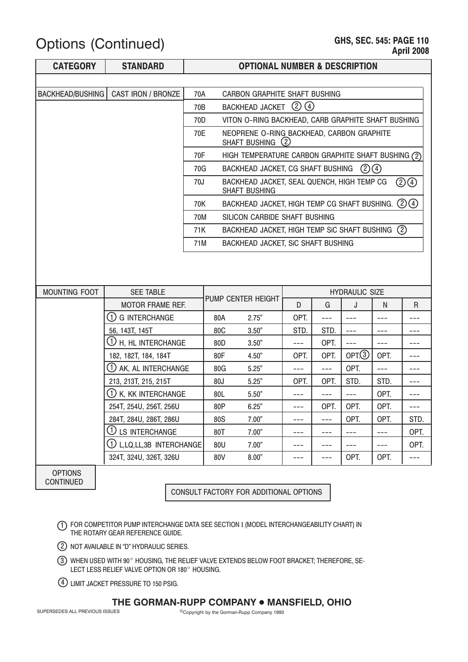### Options (Continued) GHS, SEC. 545: PAGE 110

| <b>CATEGORY</b>                    | <b>STANDARD</b>             | <b>OPTIONAL NUMBER &amp; DESCRIPTION</b>                                                        |     |                    |      |       |        |       |              |  |  |  |
|------------------------------------|-----------------------------|-------------------------------------------------------------------------------------------------|-----|--------------------|------|-------|--------|-------|--------------|--|--|--|
|                                    |                             |                                                                                                 |     |                    |      |       |        |       |              |  |  |  |
| <b>BACKHEAD/BUSHING</b>            | <b>CAST IRON / BRONZE</b>   | <b>CARBON GRAPHITE SHAFT BUSHING</b><br>70A                                                     |     |                    |      |       |        |       |              |  |  |  |
|                                    |                             | BACKHEAD JACKET (2) (4)<br>70B                                                                  |     |                    |      |       |        |       |              |  |  |  |
|                                    |                             | VITON O-RING BACKHEAD, CARB GRAPHITE SHAFT BUSHING<br>70D                                       |     |                    |      |       |        |       |              |  |  |  |
|                                    |                             | NEOPRENE O-RING BACKHEAD, CARBON GRAPHITE<br>70E<br>SHAFT BUSHING (2)                           |     |                    |      |       |        |       |              |  |  |  |
|                                    |                             | 70F<br>HIGH TEMPERATURE CARBON GRAPHITE SHAFT BUSHING (2)                                       |     |                    |      |       |        |       |              |  |  |  |
|                                    |                             | (2)(4)<br>BACKHEAD JACKET, CG SHAFT BUSHING<br>70G                                              |     |                    |      |       |        |       |              |  |  |  |
|                                    |                             | BACKHEAD JACKET, SEAL QUENCH, HIGH TEMP CG<br>70J<br>$(2)$ <sup>4</sup><br><b>SHAFT BUSHING</b> |     |                    |      |       |        |       |              |  |  |  |
|                                    |                             | $\bigcircled{2} \bigcirc$<br>BACKHEAD JACKET, HIGH TEMP CG SHAFT BUSHING.<br>70K                |     |                    |      |       |        |       |              |  |  |  |
|                                    |                             | SILICON CARBIDE SHAFT BUSHING<br>70M                                                            |     |                    |      |       |        |       |              |  |  |  |
|                                    |                             | BACKHEAD JACKET, HIGH TEMP SIC SHAFT BUSHING (2)<br>71K                                         |     |                    |      |       |        |       |              |  |  |  |
|                                    |                             | BACKHEAD JACKET, SIC SHAFT BUSHING<br>71M                                                       |     |                    |      |       |        |       |              |  |  |  |
|                                    |                             |                                                                                                 |     |                    |      |       |        |       |              |  |  |  |
|                                    |                             |                                                                                                 |     |                    |      |       |        |       |              |  |  |  |
| <b>MOUNTING FOOT</b>               | <b>SEE TABLE</b>            | <b>HYDRAULIC SIZE</b>                                                                           |     |                    |      |       |        |       |              |  |  |  |
|                                    | <b>MOTOR FRAME REF.</b>     |                                                                                                 |     | PUMP CENTER HEIGHT | D    | G     | J      | N     | $\mathsf{R}$ |  |  |  |
|                                    | (1)<br><b>G INTERCHANGE</b> |                                                                                                 | 80A | 2.75"              | OPT. | $ -$  | $---$  | ---   | ---          |  |  |  |
|                                    | 56, 143T, 145T              |                                                                                                 | 80C | 3.50"              | STD. | STD.  | $---$  | ---   |              |  |  |  |
|                                    | ➀<br>H, HL INTERCHANGE      |                                                                                                 | 80D | 3.50"              | ---  | OPT.  | $---$  | ---   | ---          |  |  |  |
|                                    | 182, 182T, 184, 184T        |                                                                                                 | 80F | 4.50"              | OPT. | OPT.  | OPT(3) | OPT.  | ---          |  |  |  |
|                                    | (1)<br>AK, AL INTERCHANGE   |                                                                                                 | 80G | 5.25"              | ---  | $---$ | OPT.   | $---$ | ---          |  |  |  |
|                                    | 213, 213T, 215, 215T        |                                                                                                 | 80J | 5.25"              | OPT. | OPT.  | STD.   | STD.  | ---          |  |  |  |
|                                    | (1) K, KK INTERCHANGE       |                                                                                                 | 80L | 5.50"              | ---  |       | $---$  | OPT.  | ---          |  |  |  |
|                                    | 254T, 254U, 256T, 256U      |                                                                                                 | 80P | 6.25"              | ---  | OPT.  | OPT.   | OPT.  | ---          |  |  |  |
|                                    | 284T, 284U, 286T, 286U      |                                                                                                 | 80S | 7.00"              | ---  | $---$ | OPT.   | OPT.  | STD.         |  |  |  |
|                                    | U<br><b>LS INTERCHANGE</b>  |                                                                                                 | 80T | 7.00"              | ---  | ---   | ---    | ---   | OPT.         |  |  |  |
|                                    | (1) L.LQ.LL.3B INTERCHANGE  |                                                                                                 | 80U | 7.00"              | ---  | $---$ | $---$  | ---   | OPT.         |  |  |  |
|                                    | 324T, 324U, 326T, 326U      |                                                                                                 | 80V | 8.00"              | ---  | $---$ | OPT.   | OPT.  | $---$        |  |  |  |
| <b>OPTIONS</b><br><b>CONTINUED</b> |                             |                                                                                                 |     |                    |      |       |        |       |              |  |  |  |

CONSULT FACTORY FOR ADDITIONAL OPTIONS

1 FOR COMPETITOR PUMP INTERCHANGE DATA SEE SECTION I (MODEL INTERCHANGEABILITY CHART) IN THE ROTARY GEAR REFERENCE GUIDE.

- 2) NOT AVAILABLE IN "D" HYDRAULIC SERIES.
- $3)$  when used with 90 $^{\circ}$  Housing, the relief valve extends below foot bracket; therefore, se-LECT LESS RELIEF VALVE OPTION OR 180° HOUSING.
- 4 LIMIT JACKET PRESSURE TO 150 PSIG.

#### THE GORMAN-RUPP COMPANY . MANSFIELD, OHIO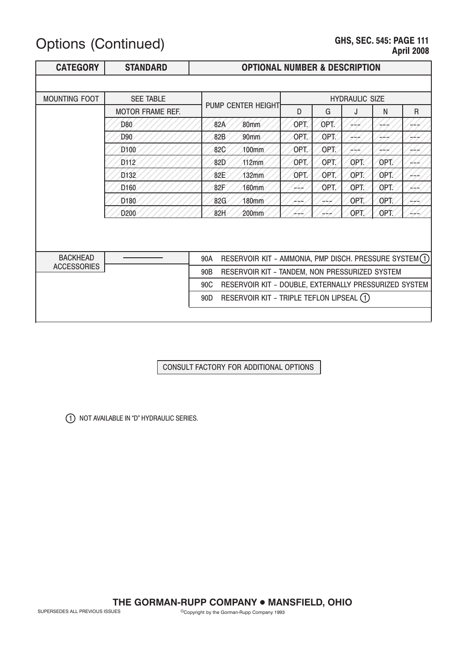# Options (Continued) GHS, SEC. 545: PAGE 111

# April 2008

| <b>CATEGORY</b>                                              | <b>OPTIONAL NUMBER &amp; DESCRIPTION</b><br><b>STANDARD</b> |                                                                   |                                                         |                       |         |      |      |              |  |  |  |
|--------------------------------------------------------------|-------------------------------------------------------------|-------------------------------------------------------------------|---------------------------------------------------------|-----------------------|---------|------|------|--------------|--|--|--|
|                                                              |                                                             |                                                                   |                                                         |                       |         |      |      |              |  |  |  |
| <b>MOUNTING FOOT</b>                                         | <b>SEE TABLE</b>                                            |                                                                   |                                                         | <b>HYDRAULIC SIZE</b> |         |      |      |              |  |  |  |
|                                                              | <b>MOTOR FRAME REF.</b>                                     |                                                                   | PUMP CENTER HEIGHT                                      | D                     | G       | J    | N    | $\mathsf{R}$ |  |  |  |
|                                                              | D80                                                         | 82A                                                               | 80 <sub>mm</sub>                                        | OPT.                  | OPT.    |      |      |              |  |  |  |
|                                                              | D90                                                         | 82B                                                               | 90mm                                                    | OPT.                  | OPT.    |      |      |              |  |  |  |
|                                                              | D <sub>100</sub>                                            | 82C                                                               | 100mm                                                   | OPT.                  | OPT.    | ---  |      |              |  |  |  |
|                                                              | D <sub>112</sub>                                            | 82D                                                               | 112mm                                                   | OPT.                  | OPT.    | OPT. | OPT. |              |  |  |  |
|                                                              | D <sub>132</sub>                                            | 82E                                                               | 132mm                                                   | OPT.                  | OPT.    | OPT. | OPT. |              |  |  |  |
|                                                              | D <sub>160</sub>                                            | 82F                                                               | 160mm                                                   | سرستيو                | OPT.    | OPT. | OPT. |              |  |  |  |
|                                                              | D180                                                        | 82G                                                               | <b>180mm</b>                                            |                       | یں گیا۔ | OPT. | OPT. |              |  |  |  |
|                                                              | D <sub>200</sub>                                            | 82H                                                               | 200mm                                                   |                       | نو د کو | OPT. | OPT  |              |  |  |  |
| <b>BACKHEAD</b>                                              |                                                             | 90A                                                               | RESERVOIR KIT - AMMONIA, PMP DISCH. PRESSURE SYSTEM (1) |                       |         |      |      |              |  |  |  |
| <b>ACCESSORIES</b>                                           |                                                             | RESERVOIR KIT - TANDEM, NON PRESSURIZED SYSTEM<br>90 <sub>B</sub> |                                                         |                       |         |      |      |              |  |  |  |
| RESERVOIR KIT - DOUBLE, EXTERNALLY PRESSURIZED SYSTEM<br>90C |                                                             |                                                                   |                                                         |                       |         |      |      |              |  |  |  |
|                                                              |                                                             | 90D                                                               | RESERVOIR KIT - TRIPLE TEFLON LIPSEAL (1)               |                       |         |      |      |              |  |  |  |
|                                                              |                                                             |                                                                   |                                                         |                       |         |      |      |              |  |  |  |

CONSULT FACTORY FOR ADDITIONAL OPTIONS

1 NOT AVAILABLE IN "D" HYDRAULIC SERIES.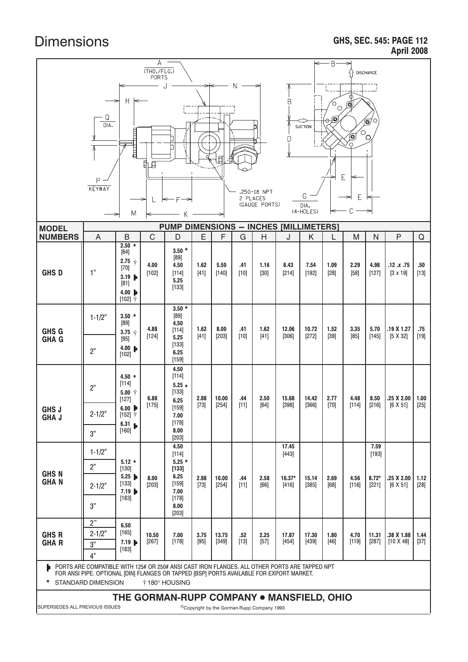|                                                                                                                                                                                                                                                     | А<br>(THD./FLG.)<br>PORTS            |                                                                                                                         |                  |                                                                                                 |                |                  |               |                              | - B·<br><b>DISCHARGE</b>              |                                     |                    |                  |                                      |                                     |                |
|-----------------------------------------------------------------------------------------------------------------------------------------------------------------------------------------------------------------------------------------------------|--------------------------------------|-------------------------------------------------------------------------------------------------------------------------|------------------|-------------------------------------------------------------------------------------------------|----------------|------------------|---------------|------------------------------|---------------------------------------|-------------------------------------|--------------------|------------------|--------------------------------------|-------------------------------------|----------------|
| <b>MODEL</b>                                                                                                                                                                                                                                        | Q<br>DIA.<br>P<br>KEYWAY             | Η<br>ă<br>M                                                                                                             | 癿日               | PUMP DIMENSIONS - INCHES [MILLIMETERS]                                                          |                |                  | 2 PLACES      | .250-18 NPT<br>(GAUGE PORTS) | Β<br>B                                | SUCTION<br>G<br>DIA.<br>$(4-HOLES)$ | O<br>$\circ$<br>(◎ | Ō<br>0<br>E<br>Ε | $\circ$<br>$\widehat{\text{O}}$<br>O |                                     |                |
| <b>NUMBERS</b>                                                                                                                                                                                                                                      | A                                    | B                                                                                                                       | $\mathsf C$      | D                                                                                               | E              | F                | G             | H                            | J                                     | Κ                                   | L                  | M                | N                                    | P                                   | ${\mathsf Q}$  |
| <b>GHSD</b>                                                                                                                                                                                                                                         | 1"                                   | $2.50 *$<br>$[64]$<br>$2.75 +$<br>$[70]$<br>3.19 $\blacktriangleright$<br>[81]<br>4.00 $\blacktriangleright$<br>[102] 卞 | 4.00<br>$[102]$  | $3.50*$<br>[89]<br>4.50<br>$[114]$<br>5.25<br>$[133]$                                           | 1.62<br>$[41]$ | 5.50<br>[140]    | .41<br>$[10]$ | 1.16<br>$[30]$               | 8.43<br>$[214]$                       | 7.54<br>$[192]$                     | 1.09<br>$[28]$     | 2.29<br>$[58]$   | 4.98<br>$[127]$                      | $.12 \times .75$<br>$[3 \times 19]$ | .50<br>$[13]$  |
| <b>GHS G</b><br><b>GHA G</b>                                                                                                                                                                                                                        | $1 - 1/2"$<br>2"                     | $3.50*$<br>[89]<br>3.75 $+$<br>$[95]$<br>4.00<br>$[102]$                                                                | 4.88<br>$[124]$  | $3.50*$<br>[89]<br>4.50<br>$[114]$<br>5.25<br>$[133]$<br>6.25<br>$[159]$                        | 1.62<br>$[41]$ | 8.00<br>$[203]$  | .41<br>$[10]$ | 1.62<br>$[41]$               | 12.06<br>[306]                        | 10.72<br>$[272]$                    | 1.52<br>$[39]$     | 3.35<br>[85]     | 5.70<br>[145]                        | .19 X 1.27<br>[5 X 32]              | .75<br>$[19]$  |
| <b>GHS J</b><br><b>GHA J</b>                                                                                                                                                                                                                        | 2"<br>$2 - 1/2"$<br>3"               | $4.50*$<br>[114]<br>$5.00 +$<br>[127]<br>6.00 $\blacktriangleright$<br>[152] $+$<br>6.31 <b>h</b><br>$[160]$            | 6.88<br>$[175]$  | 4.50<br>$[114]$<br>$5.25*$<br>$[133]$<br>6.25<br>$[159]$<br>7.00<br>$[178]$<br>8.00<br>$[203]$  | 2.88<br>$[73]$ | 10.00<br>$[254]$ | .44<br>$[11]$ | 2.50<br>[64]                 | 15.68<br>$[398]$                      | 14.42<br>$[366]$                    | 2.77<br>$[70]$     | 4.48<br>$[114]$  | 8.50<br>$[216]$                      | .25 X 2.00<br>$[6 \times 51]$       | 1.00<br>$[25]$ |
| <b>GHSN</b><br><b>GHAN</b>                                                                                                                                                                                                                          | $1 - 1/2"$<br>2"<br>$2 - 1/2"$<br>3" | $5.12 *$<br>$[130]$<br>$5.25$ $\blacksquare$<br>$[133]$<br>7.19 $\blacktriangleright$<br>$[183]$                        | 8.00<br>$[203]$  | 4.50<br>$[114]$<br>$5.25 *$<br>$[133]$<br>6.25<br>$[159]$<br>7.00<br>$[178]$<br>8.00<br>$[203]$ | 2.88<br>$[73]$ | 10.00<br>$[254]$ | .44<br>[11]   | 2.58<br>[66]                 | 17.45<br>$[443]$<br>16.37*<br>$[416]$ | 15.14<br>$[385]$                    | 2.69<br>$[68]$     | 4.56<br>$[116]$  | 7.59<br>[193]<br>$8.72*$<br>$[221]$  | .25 X 2.00<br>$[6 \times 51]$       | 1.12<br>$[28]$ |
| <b>GHS R</b><br><b>GHAR</b>                                                                                                                                                                                                                         | 2"<br>$2 - 1/2"$<br>3"<br>4"         | 6.50<br>$[165]$<br>$7.19$ $\blacktriangleright$<br>$[183]$                                                              | 10.50<br>$[267]$ | 7.00<br>$[178]$                                                                                 | 3.75<br>$[95]$ | 13.75<br>$[349]$ | .52<br>$[13]$ | 2.25<br>$[57]$               | 17.87<br>$[454]$                      | 17.30<br>$[439]$                    | 1.80<br>$[46]$     | 4.70<br>$[119]$  | 11.31<br>$[287]$                     | .38 X 1.88<br>$[10 \times 48]$      | 1.44<br>$[37]$ |
| PORTS ARE COMPATIBLE WITH 125# OR 250# ANSI CAST IRON FLANGES. ALL OTHER PORTS ARE TAPPED NPT<br>FOR ANSI PIPE. OPTIONAL [DIN] FLANGES OR TAPPED [BSP] PORTS AVAILABLE FOR EXPORT MARKET.<br>$\star$<br><b>STANDARD DIMENSION</b><br>† 180° HOUSING |                                      |                                                                                                                         |                  |                                                                                                 |                |                  |               |                              |                                       |                                     |                    |                  |                                      |                                     |                |
| THE GORMAN-RUPP COMPANY . MANSFIELD, OHIO<br>SUPERSEDES ALL PREVIOUS ISSUES<br><sup>©</sup> Copyright by the Gorman-Rupp Company 1993                                                                                                               |                                      |                                                                                                                         |                  |                                                                                                 |                |                  |               |                              |                                       |                                     |                    |                  |                                      |                                     |                |